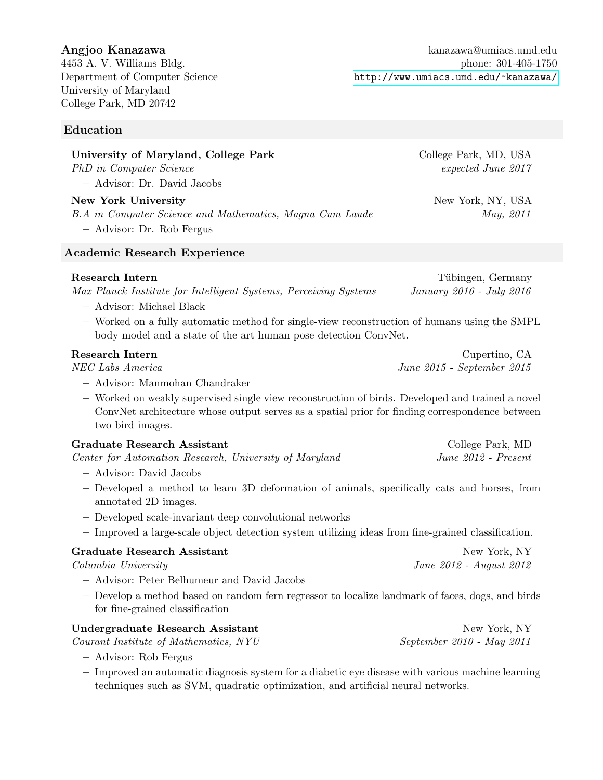University of Maryland College Park, MD 20742

## Education

# University of Maryland, College Park College Park, MD, USA

PhD in Computer Science expected June 2017

– Advisor: Dr. David Jacobs

## New York University New York, NY, USA

B.A in Computer Science and Mathematics, Magna Cum Laude May, 2011

– Advisor: Dr. Rob Fergus

## Academic Research Experience

#### Research Intern Tübingen, Germany

Max Planck Institute for Intelligent Systems, Perceiving Systems January 2016 - July 2016

- Advisor: Michael Black
- Worked on a fully automatic method for single-view reconstruction of humans using the SMPL body model and a state of the art human pose detection ConvNet.

- Advisor: Manmohan Chandraker
- Worked on weakly supervised single view reconstruction of birds. Developed and trained a novel ConvNet architecture whose output serves as a spatial prior for finding correspondence between two bird images.

| Graduate Research Assistant                            | College Park, MD      |
|--------------------------------------------------------|-----------------------|
| Center for Automation Research, University of Maryland | $June 2012 - Present$ |

- Advisor: David Jacobs
- Developed a method to learn 3D deformation of animals, specifically cats and horses, from annotated 2D images.
- Developed scale-invariant deep convolutional networks
- Improved a large-scale object detection system utilizing ideas from fine-grained classification.

| Graduate Research Assistant                                                                      | New York, NY            |
|--------------------------------------------------------------------------------------------------|-------------------------|
| Columbia University                                                                              | June 2012 - August 2012 |
| - Advisor: Peter Belhumeur and David Jacobs                                                      |                         |
| - Develop a method based on random fern regressor to localize landmark of faces, dogs, and birds |                         |

| Undergraduate Research Assistant      | New York, NY              |
|---------------------------------------|---------------------------|
| Courant Institute of Mathematics, NYU | September 2010 - May 2011 |
|                                       |                           |

– Advisor: Rob Fergus

for fine-grained classification

– Improved an automatic diagnosis system for a diabetic eye disease with various machine learning techniques such as SVM, quadratic optimization, and artificial neural networks.

Angjoo Kanazawa kanazawa kanazawa kanazawa kanazawa kanazawa kanazawa kanazawa kanazawa kanazawa kanazawa kanazawa kanazawa kanazawa kanazawa kanazawa kanazawa kanazawa kanazawa kanazawa kanazawa kanazawa kanazawa kanazawa 4453 A. V. Williams Bldg. phone: 301-405-1750 Department of Computer Science <http://www.umiacs.umd.edu/~kanazawa/>

Research Intern Cupertino, CA NEC Labs America June 2015 - September 2015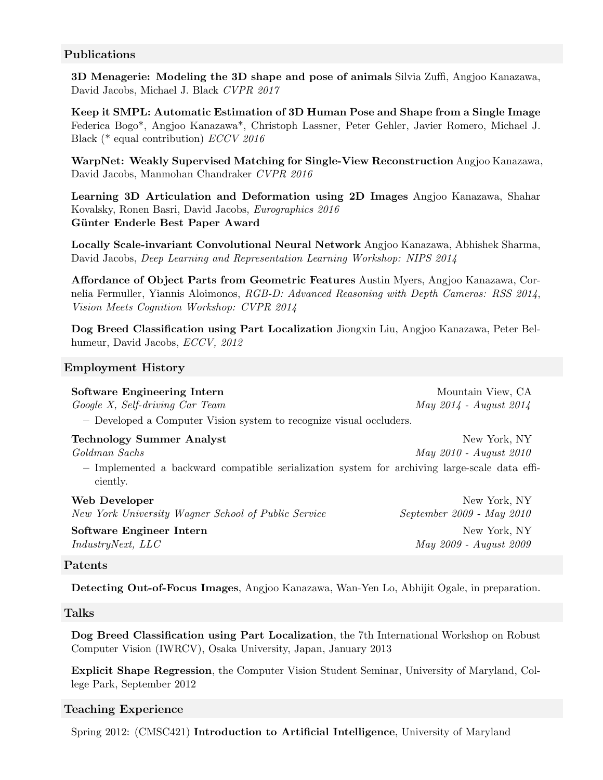#### Publications

3D Menagerie: Modeling the 3D shape and pose of animals Silvia Zuffi, Angjoo Kanazawa, David Jacobs, Michael J. Black CVPR 2017

Keep it SMPL: Automatic Estimation of 3D Human Pose and Shape from a Single Image Federica Bogo\*, Angjoo Kanazawa\*, Christoph Lassner, Peter Gehler, Javier Romero, Michael J. Black (\* equal contribution) ECCV 2016

WarpNet: Weakly Supervised Matching for Single-View Reconstruction Angjoo Kanazawa, David Jacobs, Manmohan Chandraker CVPR 2016

Learning 3D Articulation and Deformation using 2D Images Angjoo Kanazawa, Shahar Kovalsky, Ronen Basri, David Jacobs, Eurographics 2016 Günter Enderle Best Paper Award

Locally Scale-invariant Convolutional Neural Network Angjoo Kanazawa, Abhishek Sharma, David Jacobs, Deep Learning and Representation Learning Workshop: NIPS 2014

Affordance of Object Parts from Geometric Features Austin Myers, Angjoo Kanazawa, Cornelia Fermuller, Yiannis Aloimonos, RGB-D: Advanced Reasoning with Depth Cameras: RSS 2014, Vision Meets Cognition Workshop: CVPR 2014

Dog Breed Classification using Part Localization Jiongxin Liu, Angjoo Kanazawa, Peter Belhumeur, David Jacobs, ECCV, 2012

#### Employment History

| <b>Software Engineering Intern</b>                                  | Mountain View, CA      |
|---------------------------------------------------------------------|------------------------|
| Google X, Self-driving Car Team                                     | May 2014 - August 2014 |
| - Developed a Computer Vision system to recognize visual occluders. |                        |

| Technology Summer Analyst                                                                     | New York, NY           |
|-----------------------------------------------------------------------------------------------|------------------------|
| Goldman Sachs                                                                                 | May 2010 - August 2010 |
| - Implemented a backward compatible serialization system for archiving large-scale data effi- |                        |
| ciently.                                                                                      |                        |

| Web Developer                                       | New York, NY              |
|-----------------------------------------------------|---------------------------|
| New York University Wagner School of Public Service | September 2009 - May 2010 |
| Software Engineer Intern                            | New York, NY              |
| <i>IndustryNext, LLC</i>                            | May 2009 - August 2009    |
|                                                     |                           |

#### Patents

Detecting Out-of-Focus Images, Angjoo Kanazawa, Wan-Yen Lo, Abhijit Ogale, in preparation.

#### Talks

Dog Breed Classification using Part Localization, the 7th International Workshop on Robust Computer Vision (IWRCV), Osaka University, Japan, January 2013

Explicit Shape Regression, the Computer Vision Student Seminar, University of Maryland, College Park, September 2012

#### Teaching Experience

Spring 2012: (CMSC421) Introduction to Artificial Intelligence, University of Maryland